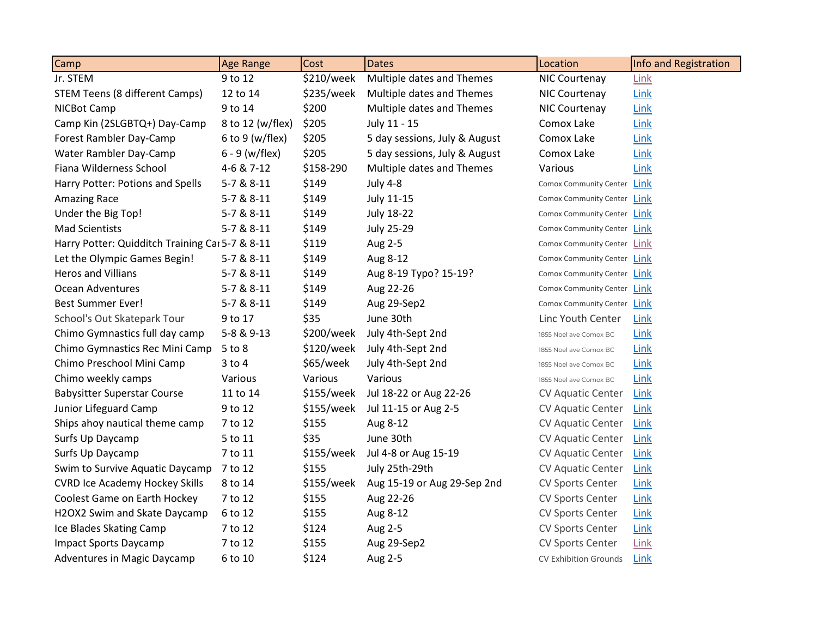| Camp                                            | <b>Age Range</b>    | Cost         | <b>Dates</b>                  | Location                     | Info and Registration |
|-------------------------------------------------|---------------------|--------------|-------------------------------|------------------------------|-----------------------|
| Jr. STEM                                        | 9 to 12             | \$210/week   | Multiple dates and Themes     | NIC Courtenay                | Link                  |
| <b>STEM Teens (8 different Camps)</b>           | 12 to 14            | \$235/week   | Multiple dates and Themes     | NIC Courtenay                | Link                  |
| NICBot Camp                                     | 9 to 14             | \$200        | Multiple dates and Themes     | NIC Courtenay                | Link                  |
| Camp Kin (2SLGBTQ+) Day-Camp                    | 8 to 12 (w/flex)    | \$205        | July 11 - 15                  | Comox Lake                   | Link                  |
| Forest Rambler Day-Camp                         | $6$ to $9$ (w/flex) | \$205        | 5 day sessions, July & August | Comox Lake                   | Link                  |
| Water Rambler Day-Camp                          | $6 - 9$ (w/flex)    | \$205        | 5 day sessions, July & August | Comox Lake                   | Link                  |
| Fiana Wilderness School                         | 4-6 & 7-12          | \$158-290    | Multiple dates and Themes     | Various                      | Link                  |
| Harry Potter: Potions and Spells                | 5-7 & 8-11          | \$149        | <b>July 4-8</b>               | Comox Community Center Link  |                       |
| <b>Amazing Race</b>                             | 5-7 & 8-11          | \$149        | <b>July 11-15</b>             | Comox Community Center Link  |                       |
| Under the Big Top!                              | 5-7 & 8-11          | \$149        | <b>July 18-22</b>             | Comox Community Center Link  |                       |
| <b>Mad Scientists</b>                           | 5-7 & 8-11          | \$149        | <b>July 25-29</b>             | Comox Community Center Link  |                       |
| Harry Potter: Quidditch Training Car 5-7 & 8-11 |                     | \$119        | Aug 2-5                       | Comox Community Center Link  |                       |
| Let the Olympic Games Begin!                    | 5-7 & 8-11          | \$149        | Aug 8-12                      | Comox Community Center Link  |                       |
| <b>Heros and Villians</b>                       | 5-7 & 8-11          | \$149        | Aug 8-19 Typo? 15-19?         | Comox Community Center Link  |                       |
| Ocean Adventures                                | 5-7 & 8-11          | \$149        | Aug 22-26                     | Comox Community Center Link  |                       |
| <b>Best Summer Ever!</b>                        | 5-7 & 8-11          | \$149        | Aug 29-Sep2                   | Comox Community Center Link  |                       |
| School's Out Skatepark Tour                     | 9 to 17             | \$35         | June 30th                     | Linc Youth Center            | <b>Link</b>           |
| Chimo Gymnastics full day camp                  | 5-8 & 9-13          | \$200/week   | July 4th-Sept 2nd             | 1855 Noel ave Comox BC       | Link                  |
| Chimo Gymnastics Rec Mini Camp                  | 5 to 8              | \$120/week   | July 4th-Sept 2nd             | 1855 Noel ave Comox BC       | Link                  |
| Chimo Preschool Mini Camp                       | $3$ to $4$          | \$65/week    | July 4th-Sept 2nd             | 1855 Noel ave Comox BC       | Link                  |
| Chimo weekly camps                              | Various             | Various      | Various                       | 1855 Noel ave Comox BC       | <b>Link</b>           |
| <b>Babysitter Superstar Course</b>              | 11 to 14            | $$155/$ week | Jul 18-22 or Aug 22-26        | <b>CV Aquatic Center</b>     | Link                  |
| Junior Lifeguard Camp                           | 9 to 12             | \$155/week   | Jul 11-15 or Aug 2-5          | <b>CV Aquatic Center</b>     | Link                  |
| Ships ahoy nautical theme camp                  | 7 to 12             | \$155        | Aug 8-12                      | <b>CV Aquatic Center</b>     | Link                  |
| Surfs Up Daycamp                                | 5 to 11             | \$35         | June 30th                     | <b>CV Aquatic Center</b>     | Link                  |
| Surfs Up Daycamp                                | 7 to 11             | $$155/$ week | Jul 4-8 or Aug 15-19          | <b>CV Aquatic Center</b>     | <b>Link</b>           |
| Swim to Survive Aquatic Daycamp                 | 7 to 12             | \$155        | July 25th-29th                | <b>CV Aquatic Center</b>     | Link                  |
| <b>CVRD Ice Academy Hockey Skills</b>           | 8 to 14             | \$155/week   | Aug 15-19 or Aug 29-Sep 2nd   | <b>CV Sports Center</b>      | Link                  |
| Coolest Game on Earth Hockey                    | 7 to 12             | \$155        | Aug 22-26                     | CV Sports Center             | Link                  |
| H2OX2 Swim and Skate Daycamp                    | 6 to 12             | \$155        | Aug 8-12                      | CV Sports Center             | <b>Link</b>           |
| Ice Blades Skating Camp                         | 7 to 12             | \$124        | Aug 2-5                       | CV Sports Center             | Link                  |
| Impact Sports Daycamp                           | 7 to 12             | \$155        | Aug 29-Sep2                   | CV Sports Center             | <b>Link</b>           |
| Adventures in Magic Daycamp                     | 6 to 10             | \$124        | Aug 2-5                       | <b>CV Exhibition Grounds</b> | Link                  |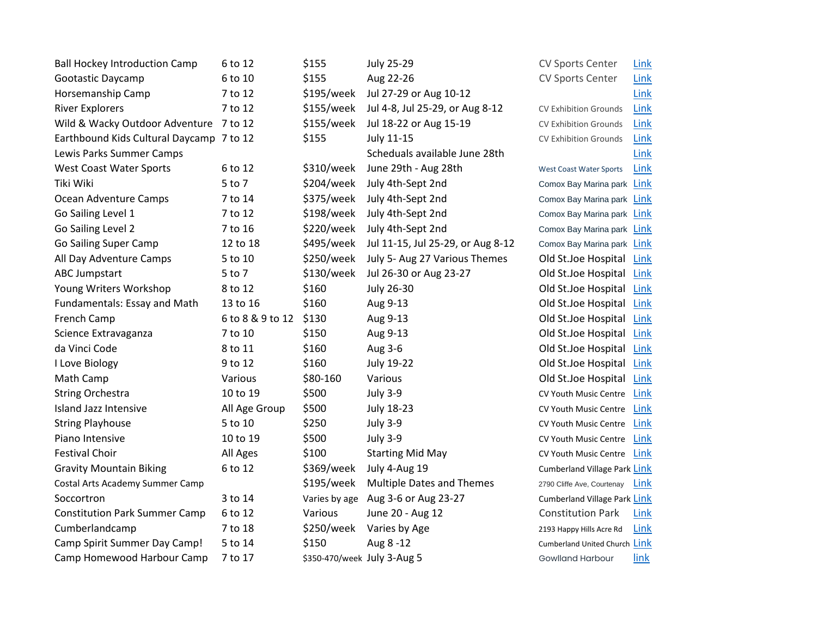| <b>Ball Hockey Introduction Camp</b>     | 6 to 12          | \$155                       | <b>July 25-29</b>                  | <b>CV Sports Center</b>        | <b>Link</b> |
|------------------------------------------|------------------|-----------------------------|------------------------------------|--------------------------------|-------------|
| Gootastic Daycamp                        | 6 to 10          | \$155                       | Aug 22-26                          | CV Sports Center               | <b>Link</b> |
| Horsemanship Camp                        | 7 to 12          | \$195/week                  | Jul 27-29 or Aug 10-12             |                                | Link        |
| <b>River Explorers</b>                   | 7 to 12          | \$155/week                  | Jul 4-8, Jul 25-29, or Aug 8-12    | <b>CV Exhibition Grounds</b>   | Link        |
| Wild & Wacky Outdoor Adventure 7 to 12   |                  | \$155/week                  | Jul 18-22 or Aug 15-19             | <b>CV Exhibition Grounds</b>   | Link        |
| Earthbound Kids Cultural Daycamp 7 to 12 |                  | \$155                       | <b>July 11-15</b>                  | <b>CV Exhibition Grounds</b>   | <b>Link</b> |
| Lewis Parks Summer Camps                 |                  |                             | Scheduals available June 28th      |                                | Link        |
| <b>West Coast Water Sports</b>           | 6 to 12          | \$310/week                  | June 29th - Aug 28th               | <b>West Coast Water Sports</b> | <b>Link</b> |
| Tiki Wiki                                | 5 to 7           | \$204/week                  | July 4th-Sept 2nd                  | Comox Bay Marina park Link     |             |
| Ocean Adventure Camps                    | 7 to 14          | \$375/week                  | July 4th-Sept 2nd                  | Comox Bay Marina park Link     |             |
| Go Sailing Level 1                       | 7 to 12          | \$198/week                  | July 4th-Sept 2nd                  | Comox Bay Marina park Link     |             |
| Go Sailing Level 2                       | 7 to 16          | \$220/week                  | July 4th-Sept 2nd                  | Comox Bay Marina park Link     |             |
| <b>Go Sailing Super Camp</b>             | 12 to 18         | \$495/week                  | Jul 11-15, Jul 25-29, or Aug 8-12  | Comox Bay Marina park Link     |             |
| All Day Adventure Camps                  | 5 to 10          | \$250/week                  | July 5- Aug 27 Various Themes      | Old St.Joe Hospital            | <b>Link</b> |
| <b>ABC Jumpstart</b>                     | 5 to 7           | \$130/week                  | Jul 26-30 or Aug 23-27             | Old St.Joe Hospital            | Link        |
| Young Writers Workshop                   | 8 to 12          | \$160                       | <b>July 26-30</b>                  | Old St.Joe Hospital            | Link        |
| Fundamentals: Essay and Math             | 13 to 16         | \$160                       | Aug 9-13                           | Old St.Joe Hospital            | Link        |
| French Camp                              | 6 to 8 & 9 to 12 | \$130                       | Aug 9-13                           | Old St.Joe Hospital            | Link        |
| Science Extravaganza                     | 7 to 10          | \$150                       | Aug 9-13                           | Old St.Joe Hospital            | Link        |
| da Vinci Code                            | 8 to 11          | \$160                       | Aug 3-6                            | Old St.Joe Hospital            | Link        |
| I Love Biology                           | 9 to 12          | \$160                       | July 19-22                         | Old St.Joe Hospital            | Link        |
| Math Camp                                | Various          | \$80-160                    | Various                            | Old St.Joe Hospital            | Link        |
| <b>String Orchestra</b>                  | 10 to 19         | \$500                       | <b>July 3-9</b>                    | CV Youth Music Centre          | Link        |
| Island Jazz Intensive                    | All Age Group    | \$500                       | July 18-23                         | CV Youth Music Centre          | Link        |
| <b>String Playhouse</b>                  | 5 to 10          | \$250                       | <b>July 3-9</b>                    | CV Youth Music Centre          | Link        |
| Piano Intensive                          | 10 to 19         | \$500                       | <b>July 3-9</b>                    | CV Youth Music Centre          | Link        |
| <b>Festival Choir</b>                    | All Ages         | \$100                       | <b>Starting Mid May</b>            | CV Youth Music Centre          | Link        |
| <b>Gravity Mountain Biking</b>           | 6 to 12          | \$369/week                  | July 4-Aug 19                      | Cumberland Village Park Link   |             |
| Costal Arts Academy Summer Camp          |                  | \$195/week                  | <b>Multiple Dates and Themes</b>   | 2790 Cliffe Ave, Courtenay     | Link        |
| Soccortron                               | 3 to 14          |                             | Varies by age Aug 3-6 or Aug 23-27 | Cumberland Village Park Link   |             |
| <b>Constitution Park Summer Camp</b>     | 6 to 12          | Various                     | June 20 - Aug 12                   | <b>Constitution Park</b>       | Link        |
| Cumberlandcamp                           | 7 to 18          | \$250/week                  | Varies by Age                      | 2193 Happy Hills Acre Rd       | Link        |
| Camp Spirit Summer Day Camp!             | 5 to 14          | \$150                       | Aug 8-12                           | Cumberland United Church Link  |             |
| Camp Homewood Harbour Camp               | 7 to 17          | \$350-470/week July 3-Aug 5 |                                    | <b>Gowlland Harbour</b>        | link        |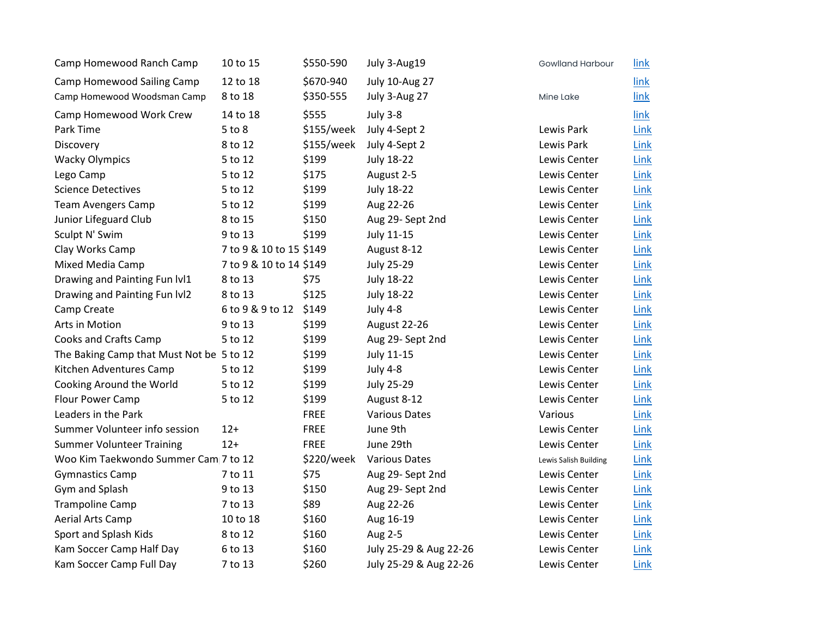| Camp Homewood Ranch Camp                 | 10 to 15                | \$550-590    | July 3-Aug19           | <b>Gowlland Harbour</b> | <u>link</u> |
|------------------------------------------|-------------------------|--------------|------------------------|-------------------------|-------------|
| Camp Homewood Sailing Camp               | 12 to 18                | \$670-940    | <b>July 10-Aug 27</b>  |                         | link        |
| Camp Homewood Woodsman Camp              | 8 to 18                 | \$350-555    | July 3-Aug 27          | Mine Lake               | link        |
| Camp Homewood Work Crew                  | 14 to 18                | \$555        | <b>July 3-8</b>        |                         | link        |
| Park Time                                | 5 to 8                  | \$155/week   | July 4-Sept 2          | Lewis Park              | Link        |
| Discovery                                | 8 to 12                 | $$155/$ week | July 4-Sept 2          | Lewis Park              | Link        |
| <b>Wacky Olympics</b>                    | 5 to 12                 | \$199        | <b>July 18-22</b>      | Lewis Center            | Link        |
| Lego Camp                                | 5 to 12                 | \$175        | August 2-5             | Lewis Center            | Link        |
| <b>Science Detectives</b>                | 5 to 12                 | \$199        | <b>July 18-22</b>      | Lewis Center            | Link        |
| <b>Team Avengers Camp</b>                | 5 to 12                 | \$199        | Aug 22-26              | Lewis Center            | Link        |
| Junior Lifeguard Club                    | 8 to 15                 | \$150        | Aug 29- Sept 2nd       | Lewis Center            | Link        |
| Sculpt N' Swim                           | 9 to 13                 | \$199        | <b>July 11-15</b>      | Lewis Center            | Link        |
| Clay Works Camp                          | 7 to 9 & 10 to 15 \$149 |              | August 8-12            | Lewis Center            | Link        |
| Mixed Media Camp                         | 7 to 9 & 10 to 14 \$149 |              | <b>July 25-29</b>      | Lewis Center            | Link        |
| Drawing and Painting Fun Ivl1            | 8 to 13                 | \$75         | <b>July 18-22</b>      | Lewis Center            | Link        |
| Drawing and Painting Fun Ivl2            | 8 to 13                 | \$125        | <b>July 18-22</b>      | Lewis Center            | Link        |
| Camp Create                              | 6 to 9 & 9 to 12 \$149  |              | <b>July 4-8</b>        | Lewis Center            | Link        |
| Arts in Motion                           | 9 to 13                 | \$199        | August 22-26           | Lewis Center            | Link        |
| Cooks and Crafts Camp                    | 5 to 12                 | \$199        | Aug 29- Sept 2nd       | Lewis Center            | Link        |
| The Baking Camp that Must Not be 5 to 12 |                         | \$199        | July 11-15             | Lewis Center            | Link        |
| Kitchen Adventures Camp                  | 5 to 12                 | \$199        | <b>July 4-8</b>        | Lewis Center            | Link        |
| Cooking Around the World                 | 5 to 12                 | \$199        | <b>July 25-29</b>      | Lewis Center            | Link        |
| Flour Power Camp                         | 5 to 12                 | \$199        | August 8-12            | Lewis Center            | Link        |
| Leaders in the Park                      |                         | <b>FREE</b>  | <b>Various Dates</b>   | Various                 | Link        |
| Summer Volunteer info session            | $12+$                   | <b>FREE</b>  | June 9th               | Lewis Center            | Link        |
| <b>Summer Volunteer Training</b>         | $12+$                   | <b>FREE</b>  | June 29th              | Lewis Center            | Link        |
| Woo Kim Taekwondo Summer Cam 7 to 12     |                         | \$220/week   | <b>Various Dates</b>   | Lewis Salish Building   | Link        |
| <b>Gymnastics Camp</b>                   | 7 to 11                 | \$75         | Aug 29- Sept 2nd       | Lewis Center            | Link        |
| Gym and Splash                           | 9 to 13                 | \$150        | Aug 29- Sept 2nd       | Lewis Center            | Link        |
| <b>Trampoline Camp</b>                   | 7 to 13                 | \$89         | Aug 22-26              | Lewis Center            | Link        |
| Aerial Arts Camp                         | 10 to 18                | \$160        | Aug 16-19              | Lewis Center            | Link        |
| Sport and Splash Kids                    | 8 to 12                 | \$160        | Aug 2-5                | Lewis Center            | Link        |
| Kam Soccer Camp Half Day                 | 6 to 13                 | \$160        | July 25-29 & Aug 22-26 | Lewis Center            | Link        |
| Kam Soccer Camp Full Day                 | 7 to 13                 | \$260        | July 25-29 & Aug 22-26 | Lewis Center            | Link        |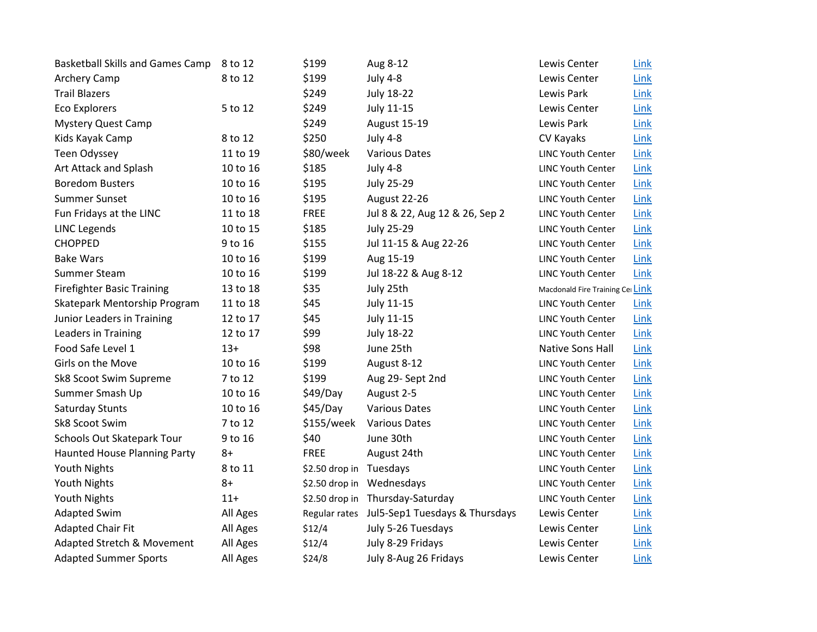| <b>Basketball Skills and Games Camp</b> | 8 to 12  | \$199                   | Aug 8-12                                     | Lewis Center                     | Link |
|-----------------------------------------|----------|-------------------------|----------------------------------------------|----------------------------------|------|
| Archery Camp                            | 8 to 12  | \$199                   | <b>July 4-8</b>                              | Lewis Center                     | Link |
| <b>Trail Blazers</b>                    |          | \$249                   | <b>July 18-22</b>                            | Lewis Park                       | Link |
| <b>Eco Explorers</b>                    | 5 to 12  | \$249                   | <b>July 11-15</b>                            | Lewis Center                     | Link |
| <b>Mystery Quest Camp</b>               |          | \$249                   | <b>August 15-19</b>                          | Lewis Park                       | Link |
| Kids Kayak Camp                         | 8 to 12  | \$250                   | <b>July 4-8</b>                              | CV Kayaks                        | Link |
| Teen Odyssey                            | 11 to 19 | \$80/week               | <b>Various Dates</b>                         | <b>LINC Youth Center</b>         | Link |
| Art Attack and Splash                   | 10 to 16 | \$185                   | <b>July 4-8</b>                              | <b>LINC Youth Center</b>         | Link |
| <b>Boredom Busters</b>                  | 10 to 16 | \$195                   | <b>July 25-29</b>                            | <b>LINC Youth Center</b>         | Link |
| <b>Summer Sunset</b>                    | 10 to 16 | \$195                   | August 22-26                                 | <b>LINC Youth Center</b>         | Link |
| Fun Fridays at the LINC                 | 11 to 18 | <b>FREE</b>             | Jul 8 & 22, Aug 12 & 26, Sep 2               | <b>LINC Youth Center</b>         | Link |
| <b>LINC Legends</b>                     | 10 to 15 | \$185                   | <b>July 25-29</b>                            | <b>LINC Youth Center</b>         | Link |
| <b>CHOPPED</b>                          | 9 to 16  | \$155                   | Jul 11-15 & Aug 22-26                        | <b>LINC Youth Center</b>         | Link |
| <b>Bake Wars</b>                        | 10 to 16 | \$199                   | Aug 15-19                                    | <b>LINC Youth Center</b>         | Link |
| Summer Steam                            | 10 to 16 | \$199                   | Jul 18-22 & Aug 8-12                         | <b>LINC Youth Center</b>         | Link |
| <b>Firefighter Basic Training</b>       | 13 to 18 | \$35                    | July 25th                                    | Macdonald Fire Training Cel Link |      |
| Skatepark Mentorship Program            | 11 to 18 | \$45                    | <b>July 11-15</b>                            | <b>LINC Youth Center</b>         | Link |
| Junior Leaders in Training              | 12 to 17 | \$45                    | July 11-15                                   | <b>LINC Youth Center</b>         | Link |
| Leaders in Training                     | 12 to 17 | \$99                    | <b>July 18-22</b>                            | <b>LINC Youth Center</b>         | Link |
| Food Safe Level 1                       | $13+$    | \$98                    | June 25th                                    | Native Sons Hall                 | Link |
| Girls on the Move                       | 10 to 16 | \$199                   | August 8-12                                  | <b>LINC Youth Center</b>         | Link |
| Sk8 Scoot Swim Supreme                  | 7 to 12  | \$199                   | Aug 29- Sept 2nd                             | <b>LINC Youth Center</b>         | Link |
| Summer Smash Up                         | 10 to 16 | \$49/Day                | August 2-5                                   | <b>LINC Youth Center</b>         | Link |
| Saturday Stunts                         | 10 to 16 | \$45/Day                | <b>Various Dates</b>                         | <b>LINC Youth Center</b>         | Link |
| Sk8 Scoot Swim                          | 7 to 12  | \$155/week              | <b>Various Dates</b>                         | <b>LINC Youth Center</b>         | Link |
| Schools Out Skatepark Tour              | 9 to 16  | \$40                    | June 30th                                    | <b>LINC Youth Center</b>         | Link |
| <b>Haunted House Planning Party</b>     | $8+$     | <b>FREE</b>             | August 24th                                  | <b>LINC Youth Center</b>         | Link |
| Youth Nights                            | 8 to 11  | \$2.50 drop in Tuesdays |                                              | <b>LINC Youth Center</b>         | Link |
| Youth Nights                            | $8+$     |                         | \$2.50 drop in Wednesdays                    | <b>LINC Youth Center</b>         | Link |
| Youth Nights                            | $11 +$   |                         | \$2.50 drop in Thursday-Saturday             | <b>LINC Youth Center</b>         | Link |
| <b>Adapted Swim</b>                     | All Ages |                         | Regular rates Jul5-Sep1 Tuesdays & Thursdays | Lewis Center                     | Link |
| <b>Adapted Chair Fit</b>                | All Ages | \$12/4                  | July 5-26 Tuesdays                           | Lewis Center                     | Link |
| <b>Adapted Stretch &amp; Movement</b>   | All Ages | \$12/4                  | July 8-29 Fridays                            | Lewis Center                     | Link |
| <b>Adapted Summer Sports</b>            | All Ages | \$24/8                  | July 8-Aug 26 Fridays                        | Lewis Center                     | Link |